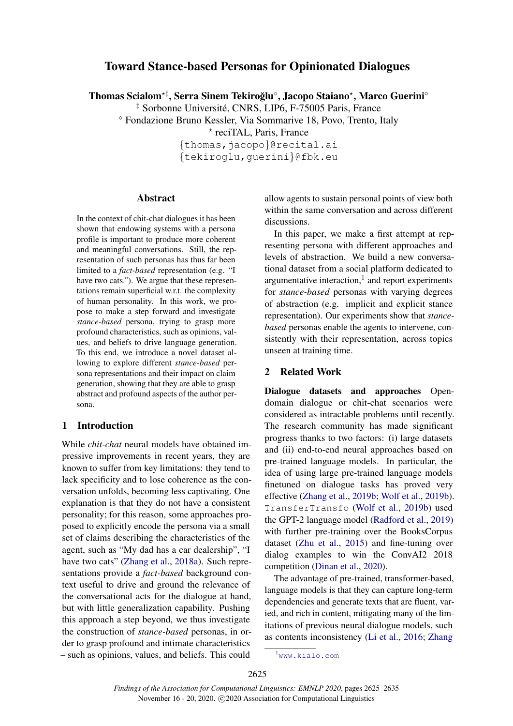# Toward Stance-based Personas for Opinionated Dialogues

Thomas Scialom\*‡, Serra Sinem Tekiroğlu°, Jacopo Staiano\*, Marco Guerini°

<sup>‡</sup> Sorbonne Université, CNRS, LIP6, F-75005 Paris, France

Fondazione Bruno Kessler, Via Sommarive 18, Povo, Trento, Italy

? reciTAL, Paris, France

{thomas,jacopo}@recital.ai {tekiroglu,guerini}@fbk.eu

#### Abstract

In the context of chit-chat dialogues it has been shown that endowing systems with a persona profile is important to produce more coherent and meaningful conversations. Still, the representation of such personas has thus far been limited to a *fact-based* representation (e.g. "I have two cats."). We argue that these representations remain superficial w.r.t. the complexity of human personality. In this work, we propose to make a step forward and investigate *stance-based* persona, trying to grasp more profound characteristics, such as opinions, values, and beliefs to drive language generation. To this end, we introduce a novel dataset allowing to explore different *stance-based* persona representations and their impact on claim generation, showing that they are able to grasp abstract and profound aspects of the author persona.

### 1 Introduction

While *chit-chat* neural models have obtained impressive improvements in recent years, they are known to suffer from key limitations: they tend to lack specificity and to lose coherence as the conversation unfolds, becoming less captivating. One explanation is that they do not have a consistent personality; for this reason, some approaches proposed to explicitly encode the persona via a small set of claims describing the characteristics of the agent, such as "My dad has a car dealership", "I have two cats" [\(Zhang et al.,](#page-9-0) [2018a\)](#page-9-0). Such representations provide a *fact-based* background context useful to drive and ground the relevance of the conversational acts for the dialogue at hand, but with little generalization capability. Pushing this approach a step beyond, we thus investigate the construction of *stance-based* personas, in order to grasp profound and intimate characteristics – such as opinions, values, and beliefs. This could

allow agents to sustain personal points of view both within the same conversation and across different discussions.

In this paper, we make a first attempt at representing persona with different approaches and levels of abstraction. We build a new conversational dataset from a social platform dedicated to argumentative interaction, $<sup>1</sup>$  $<sup>1</sup>$  $<sup>1</sup>$  and report experiments</sup> for *stance-based* personas with varying degrees of abstraction (e.g. implicit and explicit stance representation). Our experiments show that *stancebased* personas enable the agents to intervene, consistently with their representation, across topics unseen at training time.

### 2 Related Work

Dialogue datasets and approaches Opendomain dialogue or chit-chat scenarios were considered as intractable problems until recently. The research community has made significant progress thanks to two factors: (i) large datasets and (ii) end-to-end neural approaches based on pre-trained language models. In particular, the idea of using large pre-trained language models finetuned on dialogue tasks has proved very effective [\(Zhang et al.,](#page-10-0) [2019b;](#page-10-0) [Wolf et al.,](#page-9-1) [2019b\)](#page-9-1). TransferTransfo [\(Wolf et al.,](#page-9-1) [2019b\)](#page-9-1) used the GPT-2 language model [\(Radford et al.,](#page-9-2) [2019\)](#page-9-2) with further pre-training over the BooksCorpus dataset [\(Zhu et al.,](#page-10-1) [2015\)](#page-10-1) and fine-tuning over dialog examples to win the ConvAI2 2018 competition [\(Dinan et al.,](#page-8-0) [2020\)](#page-8-0).

The advantage of pre-trained, transformer-based, language models is that they can capture long-term dependencies and generate texts that are fluent, varied, and rich in content, mitigating many of the limitations of previous neural dialogue models, such as contents inconsistency [\(Li et al.,](#page-8-1) [2016;](#page-8-1) [Zhang](#page-10-2)

<span id="page-0-0"></span><sup>1</sup>[www.kialo.com](#page-10-2)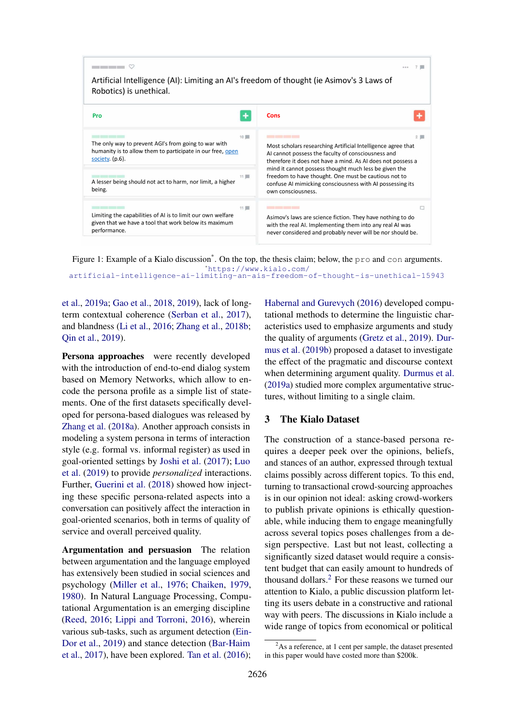<span id="page-1-1"></span>

Figure 1: Example of a Kialo discussion<sup>\*</sup>. On the top, the thesis claim; below, the pro and con arguments. [\\*](#page-10-2)[https://www.kialo.com/](https://www.kialo.com/artificial-intelligence-ai-limiting-an-ais-freedom-of-thought-is-unethical-15943) [artificial-intelligence-ai-limiting-an-ais-freedom-of-thought-is-unethical-15943](https://www.kialo.com/artificial-intelligence-ai-limiting-an-ais-freedom-of-thought-is-unethical-15943)

[et al.,](#page-10-2) [2019a;](#page-10-2) [Gao et al.,](#page-8-2) [2018,](#page-8-2) [2019\)](#page-8-3), lack of longterm contextual coherence [\(Serban et al.,](#page-9-3) [2017\)](#page-9-3), and blandness [\(Li et al.,](#page-8-1) [2016;](#page-8-1) [Zhang et al.,](#page-10-3) [2018b;](#page-10-3) [Qin et al.,](#page-9-4) [2019\)](#page-9-4).

Persona approaches were recently developed with the introduction of end-to-end dialog system based on Memory Networks, which allow to encode the persona profile as a simple list of statements. One of the first datasets specifically developed for persona-based dialogues was released by [Zhang et al.](#page-9-0) [\(2018a\)](#page-9-0). Another approach consists in modeling a system persona in terms of interaction style (e.g. formal vs. informal register) as used in goal-oriented settings by [Joshi et al.](#page-8-4) [\(2017\)](#page-8-4); [Luo](#page-8-5) [et al.](#page-8-5) [\(2019\)](#page-8-5) to provide *personalized* interactions. Further, [Guerini et al.](#page-8-6) [\(2018\)](#page-8-6) showed how injecting these specific persona-related aspects into a conversation can positively affect the interaction in goal-oriented scenarios, both in terms of quality of service and overall perceived quality.

Argumentation and persuasion The relation between argumentation and the language employed has extensively been studied in social sciences and psychology [\(Miller et al.,](#page-8-7) [1976;](#page-8-7) [Chaiken,](#page-7-0) [1979,](#page-7-0) [1980\)](#page-7-1). In Natural Language Processing, Computational Argumentation is an emerging discipline [\(Reed,](#page-9-5) [2016;](#page-9-5) [Lippi and Torroni,](#page-8-8) [2016\)](#page-8-8), wherein various sub-tasks, such as argument detection [\(Ein-](#page-8-9)[Dor et al.,](#page-8-9) [2019\)](#page-8-9) and stance detection [\(Bar-Haim](#page-7-2) [et al.,](#page-7-2) [2017\)](#page-7-2), have been explored. [Tan et al.](#page-9-6) [\(2016\)](#page-9-6);

[Habernal and Gurevych](#page-8-10) [\(2016\)](#page-8-10) developed computational methods to determine the linguistic characteristics used to emphasize arguments and study the quality of arguments [\(Gretz et al.,](#page-8-11) [2019\)](#page-8-11). [Dur](#page-8-12)[mus et al.](#page-8-12) [\(2019b\)](#page-8-12) proposed a dataset to investigate the effect of the pragmatic and discourse context when determining argument quality. [Durmus et al.](#page-8-13) [\(2019a\)](#page-8-13) studied more complex argumentative structures, without limiting to a single claim.

### <span id="page-1-2"></span>3 The Kialo Dataset

The construction of a stance-based persona requires a deeper peek over the opinions, beliefs, and stances of an author, expressed through textual claims possibly across different topics. To this end, turning to transactional crowd-sourcing approaches is in our opinion not ideal: asking crowd-workers to publish private opinions is ethically questionable, while inducing them to engage meaningfully across several topics poses challenges from a design perspective. Last but not least, collecting a significantly sized dataset would require a consistent budget that can easily amount to hundreds of thousand dollars.[2](#page-1-0) For these reasons we turned our attention to Kialo, a public discussion platform letting its users debate in a constructive and rational way with peers. The discussions in Kialo include a wide range of topics from economical or political

<span id="page-1-0"></span> $2$ As a reference, at 1 cent per sample, the dataset presented in this paper would have costed more than \$200k.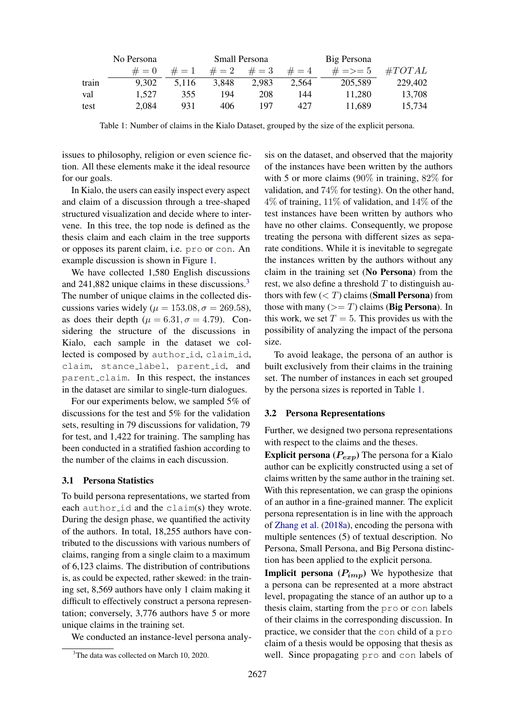<span id="page-2-1"></span>

|       | No Persona | Small Persona |         |         |         | Big Persona  |           |  |
|-------|------------|---------------|---------|---------|---------|--------------|-----------|--|
|       | $# = 0$    | $# = 1$       | $# = 2$ | $# = 3$ | $# = 4$ | $\# = > = 5$ | $\#TOTAL$ |  |
| train | 9.302      | 5.116         | 3.848   | 2.983   | 2.564   | 205,589      | 229,402   |  |
| val   | 1.527      | 355           | 194     | 208     | 144     | 11.280       | 13,708    |  |
| test  | 2,084      | 931           | 406     | 197     | 427     | 11,689       | 15,734    |  |

Table 1: Number of claims in the Kialo Dataset, grouped by the size of the explicit persona.

issues to philosophy, religion or even science fiction. All these elements make it the ideal resource for our goals.

In Kialo, the users can easily inspect every aspect and claim of a discussion through a tree-shaped structured visualization and decide where to intervene. In this tree, the top node is defined as the thesis claim and each claim in the tree supports or opposes its parent claim, i.e. pro or con. An example discussion is shown in Figure [1.](#page-1-1)

We have collected 1,580 English discussions and  $241,882$  unique claims in these discussions.<sup>[3](#page-2-0)</sup> The number of unique claims in the collected discussions varies widely ( $\mu = 153.08, \sigma = 269.58$ ), as does their depth ( $\mu = 6.31, \sigma = 4.79$ ). Considering the structure of the discussions in Kialo, each sample in the dataset we collected is composed by author id, claim id, claim, stance label, parent id, and parent claim. In this respect, the instances in the dataset are similar to single-turn dialogues.

For our experiments below, we sampled 5% of discussions for the test and 5% for the validation sets, resulting in 79 discussions for validation, 79 for test, and 1,422 for training. The sampling has been conducted in a stratified fashion according to the number of the claims in each discussion.

#### 3.1 Persona Statistics

To build persona representations, we started from each author id and the claim(s) they wrote. During the design phase, we quantified the activity of the authors. In total, 18,255 authors have contributed to the discussions with various numbers of claims, ranging from a single claim to a maximum of 6,123 claims. The distribution of contributions is, as could be expected, rather skewed: in the training set, 8,569 authors have only 1 claim making it difficult to effectively construct a persona representation; conversely, 3,776 authors have 5 or more unique claims in the training set.

We conducted an instance-level persona analy-

sis on the dataset, and observed that the majority of the instances have been written by the authors with 5 or more claims (90% in training, 82% for validation, and 74% for testing). On the other hand,  $4\%$  of training,  $11\%$  of validation, and  $14\%$  of the test instances have been written by authors who have no other claims. Consequently, we propose treating the persona with different sizes as separate conditions. While it is inevitable to segregate the instances written by the authors without any claim in the training set (No Persona) from the rest, we also define a threshold  $T$  to distinguish authors with few  $(<sub>T</sub>)$  claims (**Small Persona**) from those with many  $(>= T)$  claims (**Big Persona**). In this work, we set  $T = 5$ . This provides us with the possibility of analyzing the impact of the persona size.

To avoid leakage, the persona of an author is built exclusively from their claims in the training set. The number of instances in each set grouped by the persona sizes is reported in Table [1.](#page-2-1)

#### 3.2 Persona Representations

Further, we designed two persona representations with respect to the claims and the theses.

**Explicit persona** ( $P_{exp}$ ) The persona for a Kialo author can be explicitly constructed using a set of claims written by the same author in the training set. With this representation, we can grasp the opinions of an author in a fine-grained manner. The explicit persona representation is in line with the approach of [Zhang et al.](#page-9-0) [\(2018a\)](#page-9-0), encoding the persona with multiple sentences (5) of textual description. No Persona, Small Persona, and Big Persona distinction has been applied to the explicit persona.

**Implicit persona**  $(P_{imp})$  We hypothesize that a persona can be represented at a more abstract level, propagating the stance of an author up to a thesis claim, starting from the pro or con labels of their claims in the corresponding discussion. In practice, we consider that the con child of a pro claim of a thesis would be opposing that thesis as well. Since propagating pro and con labels of

<span id="page-2-0"></span><sup>&</sup>lt;sup>3</sup>The data was collected on March 10, 2020.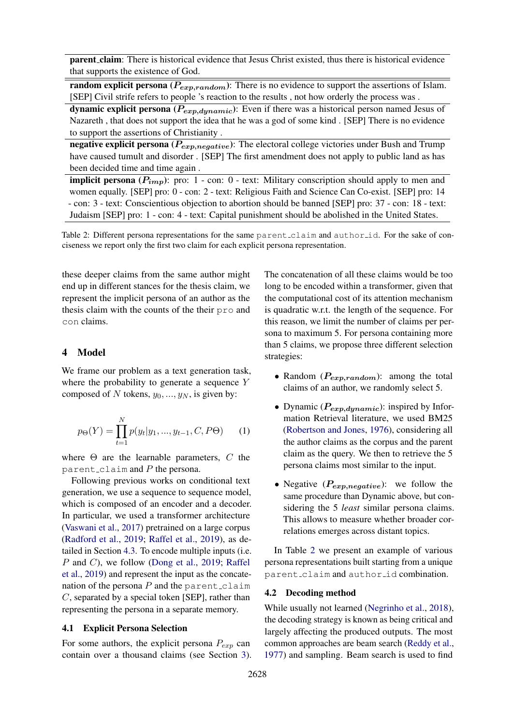<span id="page-3-0"></span>parent claim: There is historical evidence that Jesus Christ existed, thus there is historical evidence that supports the existence of God.

random explicit persona ( $P_{exp,random}$ ): There is no evidence to support the assertions of Islam. [SEP] Civil strife refers to people 's reaction to the results , not how orderly the process was .

dynamic explicit persona ( $P_{exp,dynamic}$ ): Even if there was a historical person named Jesus of Nazareth , that does not support the idea that he was a god of some kind . [SEP] There is no evidence to support the assertions of Christianity .

negative explicit persona ( $P_{exp,negative}$ ): The electoral college victories under Bush and Trump have caused tumult and disorder . [SEP] The first amendment does not apply to public land as has been decided time and time again .

implicit persona  $(P_{imp})$ : pro: 1 - con: 0 - text: Military conscription should apply to men and women equally. [SEP] pro: 0 - con: 2 - text: Religious Faith and Science Can Co-exist. [SEP] pro: 14 - con: 3 - text: Conscientious objection to abortion should be banned [SEP] pro: 37 - con: 18 - text: Judaism [SEP] pro: 1 - con: 4 - text: Capital punishment should be abolished in the United States.

Table 2: Different persona representations for the same parent claim and author id. For the sake of conciseness we report only the first two claim for each explicit persona representation.

these deeper claims from the same author might end up in different stances for the thesis claim, we represent the implicit persona of an author as the thesis claim with the counts of the their pro and con claims.

## 4 Model

We frame our problem as a text generation task, where the probability to generate a sequence Y composed of N tokens,  $y_0, ..., y_N$ , is given by:

<span id="page-3-1"></span>
$$
p_{\Theta}(Y) = \prod_{t=1}^{N} p(y_t | y_1, ..., y_{t-1}, C, P\Theta)
$$
 (1)

where  $\Theta$  are the learnable parameters, C the parent claim and  $P$  the persona.

Following previous works on conditional text generation, we use a sequence to sequence model, which is composed of an encoder and a decoder. In particular, we used a transformer architecture [\(Vaswani et al.,](#page-9-7) [2017\)](#page-9-7) pretrained on a large corpus [\(Radford et al.,](#page-9-2) [2019;](#page-9-2) [Raffel et al.,](#page-9-8) [2019\)](#page-9-8), as detailed in Section [4.3.](#page-4-0) To encode multiple inputs (i.e. P and C), we follow [\(Dong et al.,](#page-8-14) [2019;](#page-8-14) [Raffel](#page-9-8) [et al.,](#page-9-8) [2019\)](#page-9-8) and represent the input as the concatenation of the persona  $P$  and the parent claim  $C$ , separated by a special token [SEP], rather than representing the persona in a separate memory.

#### <span id="page-3-2"></span>4.1 Explicit Persona Selection

For some authors, the explicit persona  $P_{exp}$  can contain over a thousand claims (see Section [3\)](#page-1-2). The concatenation of all these claims would be too long to be encoded within a transformer, given that the computational cost of its attention mechanism is quadratic w.r.t. the length of the sequence. For this reason, we limit the number of claims per persona to maximum 5. For persona containing more than 5 claims, we propose three different selection strategies:

- Random  $(P_{exp,random})$ : among the total claims of an author, we randomly select 5.
- Dynamic ( $P_{exp,dynamic}$ ): inspired by Information Retrieval literature, we used BM25 [\(Robertson and Jones,](#page-9-9) [1976\)](#page-9-9), considering all the author claims as the corpus and the parent claim as the query. We then to retrieve the 5 persona claims most similar to the input.
- Negative  $(P_{exp,negative})$ : we follow the same procedure than Dynamic above, but considering the 5 *least* similar persona claims. This allows to measure whether broader correlations emerges across distant topics.

In Table [2](#page-3-0) we present an example of various persona representations built starting from a unique parent claim and author id combination.

### 4.2 Decoding method

While usually not learned [\(Negrinho et al.,](#page-8-15) [2018\)](#page-8-15), the decoding strategy is known as being critical and largely affecting the produced outputs. The most common approaches are beam search [\(Reddy et al.,](#page-9-10) [1977\)](#page-9-10) and sampling. Beam search is used to find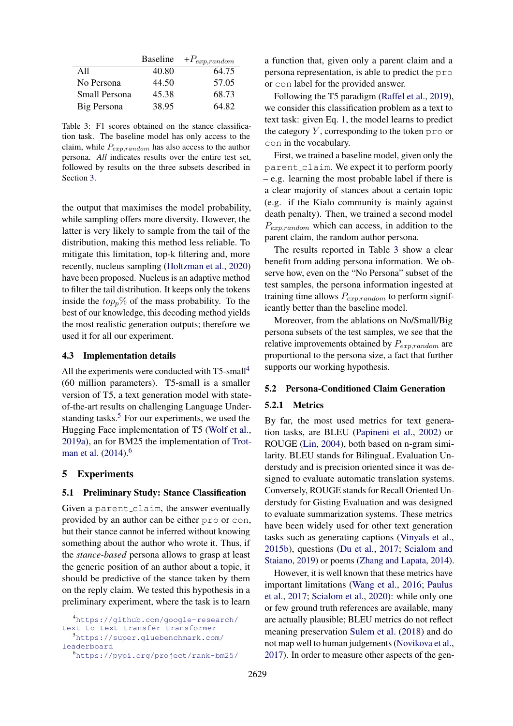<span id="page-4-4"></span>

|               |       | Baseline $+P_{exp, random}$ |
|---------------|-------|-----------------------------|
| A11           | 40.80 | 64.75                       |
| No Persona    | 44.50 | 57.05                       |
| Small Persona | 45.38 | 68.73                       |
| Big Persona   | 38.95 | 64.82                       |

Table 3: F1 scores obtained on the stance classification task. The baseline model has only access to the claim, while  $P_{exp,random}$  has also access to the author persona. *All* indicates results over the entire test set, followed by results on the three subsets described in Section [3.](#page-1-2)

the output that maximises the model probability, while sampling offers more diversity. However, the latter is very likely to sample from the tail of the distribution, making this method less reliable. To mitigate this limitation, top-k filtering and, more recently, nucleus sampling [\(Holtzman et al.,](#page-8-16) [2020\)](#page-8-16) have been proposed. Nucleus is an adaptive method to filter the tail distribution. It keeps only the tokens inside the  $top_p\%$  of the mass probability. To the best of our knowledge, this decoding method yields the most realistic generation outputs; therefore we used it for all our experiment.

### <span id="page-4-0"></span>4.3 Implementation details

All the experiments were conducted with T5-small<sup>[4](#page-4-1)</sup> (60 million parameters). T5-small is a smaller version of T5, a text generation model with stateof-the-art results on challenging Language Understanding tasks. $5$  For our experiments, we used the Hugging Face implementation of T5 [\(Wolf et al.,](#page-9-11) [2019a\)](#page-9-11), an for BM25 the implementation of [Trot](#page-9-12)[man et al.](#page-9-12) [\(2014\)](#page-9-12).<sup>[6](#page-4-3)</sup>

### 5 Experiments

#### 5.1 Preliminary Study: Stance Classification

Given a parent claim, the answer eventually provided by an author can be either pro or con, but their stance cannot be inferred without knowing something about the author who wrote it. Thus, if the *stance-based* persona allows to grasp at least the generic position of an author about a topic, it should be predictive of the stance taken by them on the reply claim. We tested this hypothesis in a preliminary experiment, where the task is to learn

a function that, given only a parent claim and a persona representation, is able to predict the pro or con label for the provided answer.

Following the T5 paradigm [\(Raffel et al.,](#page-9-8) [2019\)](#page-9-8), we consider this classification problem as a text to text task: given Eq. [1,](#page-3-1) the model learns to predict the category  $Y$ , corresponding to the token pro or con in the vocabulary.

First, we trained a baseline model, given only the parent claim. We expect it to perform poorly – e.g. learning the most probable label if there is a clear majority of stances about a certain topic (e.g. if the Kialo community is mainly against death penalty). Then, we trained a second model  $P_{exp, random}$  which can access, in addition to the parent claim, the random author persona.

The results reported in Table [3](#page-4-4) show a clear benefit from adding persona information. We observe how, even on the "No Persona" subset of the test samples, the persona information ingested at training time allows  $P_{exp.random}$  to perform significantly better than the baseline model.

Moreover, from the ablations on No/Small/Big persona subsets of the test samples, we see that the relative improvements obtained by  $P_{exp, random}$  are proportional to the persona size, a fact that further supports our working hypothesis.

#### 5.2 Persona-Conditioned Claim Generation

### 5.2.1 Metrics

By far, the most used metrics for text generation tasks, are BLEU [\(Papineni et al.,](#page-9-13) [2002\)](#page-9-13) or ROUGE [\(Lin,](#page-8-17) [2004\)](#page-8-17), both based on n-gram similarity. BLEU stands for BilinguaL Evaluation Understudy and is precision oriented since it was designed to evaluate automatic translation systems. Conversely, ROUGE stands for Recall Oriented Understudy for Gisting Evaluation and was designed to evaluate summarization systems. These metrics have been widely used for other text generation tasks such as generating captions [\(Vinyals et al.,](#page-9-14) [2015b\)](#page-9-14), questions [\(Du et al.,](#page-8-18) [2017;](#page-8-18) [Scialom and](#page-9-15) [Staiano,](#page-9-15) [2019\)](#page-9-15) or poems [\(Zhang and Lapata,](#page-10-4) [2014\)](#page-10-4).

However, it is well known that these metrics have important limitations [\(Wang et al.,](#page-9-16) [2016;](#page-9-16) [Paulus](#page-9-17) [et al.,](#page-9-17) [2017;](#page-9-17) [Scialom et al.,](#page-9-18) [2020\)](#page-9-18): while only one or few ground truth references are available, many are actually plausible; BLEU metrics do not reflect meaning preservation [Sulem et al.](#page-9-19) [\(2018\)](#page-9-19) and do not map well to human judgements [\(Novikova et al.,](#page-8-19) [2017\)](#page-8-19). In order to measure other aspects of the gen-

<span id="page-4-1"></span><sup>4</sup>[https://github.com/google-research/](https://github.com/google-research/text-to-text-transfer-transformer) [text-to-text-transfer-transformer](https://github.com/google-research/text-to-text-transfer-transformer)

<span id="page-4-2"></span><sup>5</sup>[https://super.gluebenchmark.com/](https://super.gluebenchmark.com/leaderboard) [leaderboard](https://super.gluebenchmark.com/leaderboard)

<span id="page-4-3"></span><sup>6</sup><https://pypi.org/project/rank-bm25/>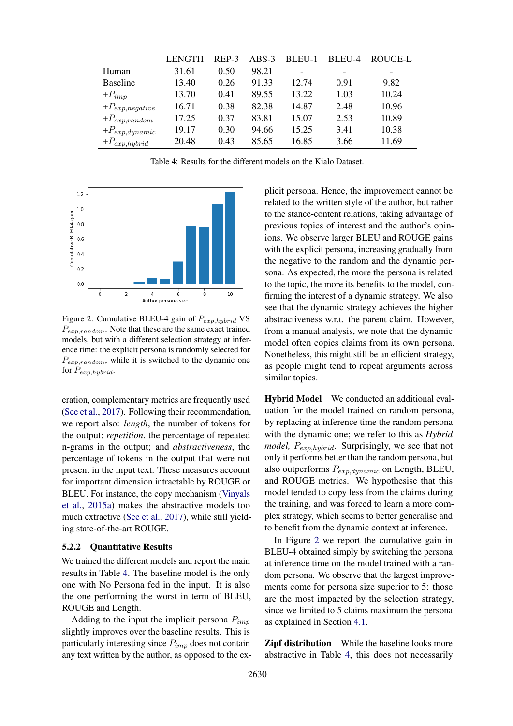<span id="page-5-0"></span>

|                     | <b>LENGTH</b> | REP-3 | $ABS-3$ | BLEU-1 | BLEU-4 | ROUGE-L |
|---------------------|---------------|-------|---------|--------|--------|---------|
| Human               | 31.61         | 0.50  | 98.21   |        |        |         |
| <b>Baseline</b>     | 13.40         | 0.26  | 91.33   | 12.74  | 0.91   | 9.82    |
| $+P_{imp}$          | 13.70         | 0.41  | 89.55   | 13.22  | 1.03   | 10.24   |
| $+P_{exp,negative}$ | 16.71         | 0.38  | 82.38   | 14.87  | 2.48   | 10.96   |
| $+P_{exp, random}$  | 17.25         | 0.37  | 83.81   | 15.07  | 2.53   | 10.89   |
| $+P_{exp,dynamic}$  | 19.17         | 0.30  | 94.66   | 15.25  | 3.41   | 10.38   |
| $+P_{exp,hybrid}$   | 20.48         | 0.43  | 85.65   | 16.85  | 3.66   | 11.69   |

Table 4: Results for the different models on the Kialo Dataset.

<span id="page-5-1"></span>

Figure 2: Cumulative BLEU-4 gain of  $P_{exp\;huhrid}$  VS  $P_{exp,random}$ . Note that these are the same exact trained models, but with a different selection strategy at inference time: the explicit persona is randomly selected for  $P_{exp,random}$ , while it is switched to the dynamic one for  $P_{exp,hybrid}$ .

eration, complementary metrics are frequently used [\(See et al.,](#page-9-20) [2017\)](#page-9-20). Following their recommendation, we report also: *length*, the number of tokens for the output; *repetition*, the percentage of repeated n-grams in the output; and *abstractiveness*, the percentage of tokens in the output that were not present in the input text. These measures account for important dimension intractable by ROUGE or BLEU. For instance, the copy mechanism [\(Vinyals](#page-9-21) [et al.,](#page-9-21) [2015a\)](#page-9-21) makes the abstractive models too much extractive [\(See et al.,](#page-9-20) [2017\)](#page-9-20), while still yielding state-of-the-art ROUGE.

### <span id="page-5-2"></span>5.2.2 Quantitative Results

We trained the different models and report the main results in Table [4.](#page-5-0) The baseline model is the only one with No Persona fed in the input. It is also the one performing the worst in term of BLEU, ROUGE and Length.

Adding to the input the implicit persona  $P_{imp}$ slightly improves over the baseline results. This is particularly interesting since  $P_{imp}$  does not contain any text written by the author, as opposed to the ex-

plicit persona. Hence, the improvement cannot be related to the written style of the author, but rather to the stance-content relations, taking advantage of previous topics of interest and the author's opinions. We observe larger BLEU and ROUGE gains with the explicit persona, increasing gradually from the negative to the random and the dynamic persona. As expected, the more the persona is related to the topic, the more its benefits to the model, confirming the interest of a dynamic strategy. We also see that the dynamic strategy achieves the higher abstractiveness w.r.t. the parent claim. However, from a manual analysis, we note that the dynamic model often copies claims from its own persona. Nonetheless, this might still be an efficient strategy, as people might tend to repeat arguments across similar topics.

Hybrid Model We conducted an additional evaluation for the model trained on random persona, by replacing at inference time the random persona with the dynamic one; we refer to this as *Hybrid model,*  $P_{exp,hybrid}$ *.* Surprisingly, we see that not only it performs better than the random persona, but also outperforms  $P_{exp,dynamic}$  on Length, BLEU, and ROUGE metrics. We hypothesise that this model tended to copy less from the claims during the training, and was forced to learn a more complex strategy, which seems to better generalise and to benefit from the dynamic context at inference.

In Figure [2](#page-5-1) we report the cumulative gain in BLEU-4 obtained simply by switching the persona at inference time on the model trained with a random persona. We observe that the largest improvements come for persona size superior to 5: those are the most impacted by the selection strategy, since we limited to 5 claims maximum the persona as explained in Section [4.1.](#page-3-2)

Zipf distribution While the baseline looks more abstractive in Table [4,](#page-5-0) this does not necessarily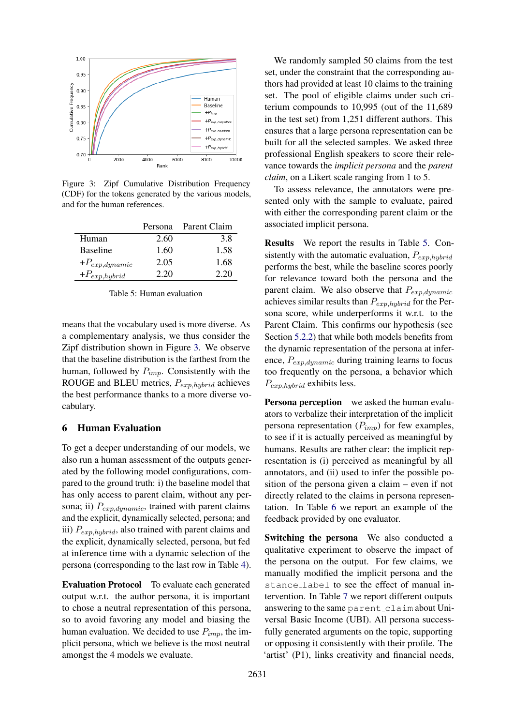<span id="page-6-0"></span>

Figure 3: Zipf Cumulative Distribution Frequency (CDF) for the tokens generated by the various models, and for the human references.

<span id="page-6-1"></span>

|                    | Persona | Parent Claim |
|--------------------|---------|--------------|
| Human              | 2.60    | 3.8          |
| <b>Baseline</b>    | 1.60    | 1.58         |
| $+P_{exp,dynamic}$ | 2.05    | 1.68         |
| $+P_{exp,hybrid}$  | 2.20    | 2.20         |

|  |  | Table 5: Human evaluation |
|--|--|---------------------------|
|--|--|---------------------------|

means that the vocabulary used is more diverse. As a complementary analysis, we thus consider the Zipf distribution shown in Figure [3.](#page-6-0) We observe that the baseline distribution is the farthest from the human, followed by  $P_{imp}$ . Consistently with the ROUGE and BLEU metrics,  $P_{exp,hybrid}$  achieves the best performance thanks to a more diverse vocabulary.

## 6 Human Evaluation

To get a deeper understanding of our models, we also run a human assessment of the outputs generated by the following model configurations, compared to the ground truth: i) the baseline model that has only access to parent claim, without any persona; ii)  $P_{exp,dunamic}$ , trained with parent claims and the explicit, dynamically selected, persona; and iii)  $P_{exp,hybrid}$ , also trained with parent claims and the explicit, dynamically selected, persona, but fed at inference time with a dynamic selection of the persona (corresponding to the last row in Table [4\)](#page-5-0).

Evaluation Protocol To evaluate each generated output w.r.t. the author persona, it is important to chose a neutral representation of this persona, so to avoid favoring any model and biasing the human evaluation. We decided to use  $P_{imp}$ , the implicit persona, which we believe is the most neutral amongst the 4 models we evaluate.

We randomly sampled 50 claims from the test set, under the constraint that the corresponding authors had provided at least 10 claims to the training set. The pool of eligible claims under such criterium compounds to 10,995 (out of the 11,689 in the test set) from 1,251 different authors. This ensures that a large persona representation can be built for all the selected samples. We asked three professional English speakers to score their relevance towards the *implicit persona* and the *parent claim*, on a Likert scale ranging from 1 to 5.

To assess relevance, the annotators were presented only with the sample to evaluate, paired with either the corresponding parent claim or the associated implicit persona.

Results We report the results in Table [5.](#page-6-1) Consistently with the automatic evaluation,  $P_{exp,hubrid}$ performs the best, while the baseline scores poorly for relevance toward both the persona and the parent claim. We also observe that  $P_{exp,dynamic}$ achieves similar results than  $P_{exp,hybrid}$  for the Persona score, while underperforms it w.r.t. to the Parent Claim. This confirms our hypothesis (see Section [5.2.2\)](#page-5-2) that while both models benefits from the dynamic representation of the persona at inference,  $P_{exp,dynamic}$  during training learns to focus too frequently on the persona, a behavior which  $P_{exp,hybrid}$  exhibits less.

Persona perception we asked the human evaluators to verbalize their interpretation of the implicit persona representation  $(P_{imp})$  for few examples, to see if it is actually perceived as meaningful by humans. Results are rather clear: the implicit representation is (i) perceived as meaningful by all annotators, and (ii) used to infer the possible position of the persona given a claim – even if not directly related to the claims in persona representation. In Table [6](#page-7-3) we report an example of the feedback provided by one evaluator.

Switching the persona We also conducted a qualitative experiment to observe the impact of the persona on the output. For few claims, we manually modified the implicit persona and the stance label to see the effect of manual intervention. In Table [7](#page-7-4) we report different outputs answering to the same parent claim about Universal Basic Income (UBI). All persona successfully generated arguments on the topic, supporting or opposing it consistently with their profile. The 'artist' (P1), links creativity and financial needs,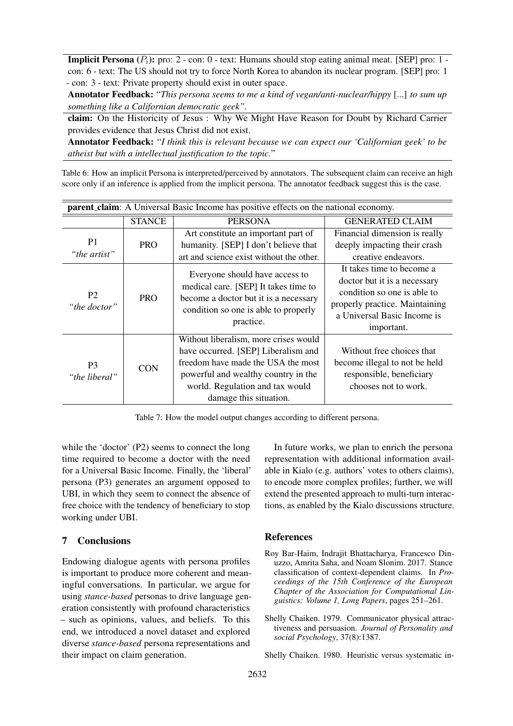<span id="page-7-3"></span>**Implicit Persona**  $(P_i)$ : pro: 2 - con: 0 - text: Humans should stop eating animal meat. [SEP] pro: 1 con: 6 - text: The US should not try to force North Korea to abandon its nuclear program. [SEP] pro: 1 - con: 3 - text: Private property should exist in outer space.

Annotator Feedback: "*This persona seems to me a kind of vegan/anti-nuclear/hippy* [...] *to sum up something like a Californian democratic geek".*

claim: On the Historicity of Jesus : Why We Might Have Reason for Doubt by Richard Carrier provides evidence that Jesus Christ did not exist.

Annotator Feedback: "*I think this is relevant because we can expect our 'Californian geek' to be atheist but with a intellectual justification to the topic.*"

Table 6: How an implicit Persona is interpreted/perceived by annotators. The subsequent claim can receive an high score only if an inference is applied from the implicit persona. The annotator feedback suggest this is the case.

<span id="page-7-4"></span>

| parent_claim: A Universal Basic Income has positive effects on the national economy. |               |                                                                                                                                                                                                                        |                                                                                                                                                                         |  |
|--------------------------------------------------------------------------------------|---------------|------------------------------------------------------------------------------------------------------------------------------------------------------------------------------------------------------------------------|-------------------------------------------------------------------------------------------------------------------------------------------------------------------------|--|
|                                                                                      | <b>STANCE</b> | <b>PERSONA</b>                                                                                                                                                                                                         | <b>GENERATED CLAIM</b>                                                                                                                                                  |  |
| P <sub>1</sub><br>"the artist"                                                       | <b>PRO</b>    | Art constitute an important part of<br>humanity. [SEP] I don't believe that<br>art and science exist without the other.                                                                                                | Financial dimension is really<br>deeply impacting their crash<br>creative endeavors.                                                                                    |  |
| P <sub>2</sub><br>"the doctor"                                                       | <b>PRO</b>    | Everyone should have access to<br>medical care. [SEP] It takes time to<br>become a doctor but it is a necessary<br>condition so one is able to properly<br>practice.                                                   | It takes time to become a<br>doctor but it is a necessary<br>condition so one is able to<br>properly practice. Maintaining<br>a Universal Basic Income is<br>important. |  |
| P <sub>3</sub><br>"the liberal"                                                      | <b>CON</b>    | Without liberalism, more crises would<br>have occurred. [SEP] Liberalism and<br>freedom have made the USA the most<br>powerful and wealthy country in the<br>world. Regulation and tax would<br>damage this situation. | Without free choices that<br>become illegal to not be held<br>responsible, beneficiary<br>chooses not to work.                                                          |  |

Table 7: How the model output changes according to different persona.

while the 'doctor' (P2) seems to connect the long time required to become a doctor with the need for a Universal Basic Income. Finally, the 'liberal' persona (P3) generates an argument opposed to UBI, in which they seem to connect the absence of free choice with the tendency of beneficiary to stop working under UBI.

## 7 Conclusions

Endowing dialogue agents with persona profiles is important to produce more coherent and meaningful conversations. In particular, we argue for using *stance-based* personas to drive language generation consistently with profound characteristics – such as opinions, values, and beliefs. To this end, we introduced a novel dataset and explored diverse *stance-based* persona representations and their impact on claim generation.

In future works, we plan to enrich the persona representation with additional information available in Kialo (e.g. authors' votes to others claims), to encode more complex profiles; further, we will extend the presented approach to multi-turn interactions, as enabled by the Kialo discussions structure.

### **References**

- <span id="page-7-2"></span>Roy Bar-Haim, Indrajit Bhattacharya, Francesco Dinuzzo, Amrita Saha, and Noam Slonim. 2017. Stance classification of context-dependent claims. In *Proceedings of the 15th Conference of the European Chapter of the Association for Computational Linguistics: Volume 1, Long Papers*, pages 251–261.
- <span id="page-7-0"></span>Shelly Chaiken. 1979. Communicator physical attractiveness and persuasion. *Journal of Personality and social Psychology*, 37(8):1387.

<span id="page-7-1"></span>Shelly Chaiken. 1980. Heuristic versus systematic in-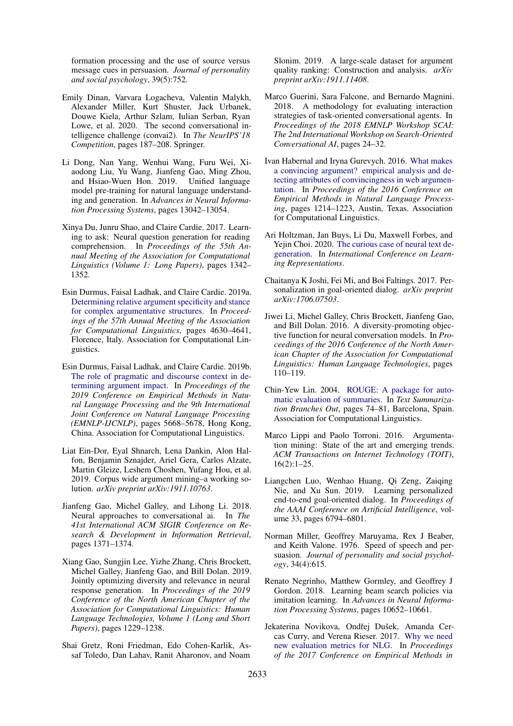formation processing and the use of source versus message cues in persuasion. *Journal of personality and social psychology*, 39(5):752.

- <span id="page-8-0"></span>Emily Dinan, Varvara Logacheva, Valentin Malykh, Alexander Miller, Kurt Shuster, Jack Urbanek, Douwe Kiela, Arthur Szlam, Iulian Serban, Ryan Lowe, et al. 2020. The second conversational intelligence challenge (convai2). In *The NeurIPS'18 Competition*, pages 187–208. Springer.
- <span id="page-8-14"></span>Li Dong, Nan Yang, Wenhui Wang, Furu Wei, Xiaodong Liu, Yu Wang, Jianfeng Gao, Ming Zhou, and Hsiao-Wuen Hon. 2019. Unified language model pre-training for natural language understanding and generation. In *Advances in Neural Information Processing Systems*, pages 13042–13054.
- <span id="page-8-18"></span>Xinya Du, Junru Shao, and Claire Cardie. 2017. Learning to ask: Neural question generation for reading comprehension. In *Proceedings of the 55th Annual Meeting of the Association for Computational Linguistics (Volume 1: Long Papers)*, pages 1342– 1352.
- <span id="page-8-13"></span>Esin Durmus, Faisal Ladhak, and Claire Cardie. 2019a. [Determining relative argument specificity and stance](https://doi.org/10.18653/v1/P19-1456) [for complex argumentative structures.](https://doi.org/10.18653/v1/P19-1456) In *Proceedings of the 57th Annual Meeting of the Association for Computational Linguistics*, pages 4630–4641, Florence, Italy. Association for Computational Linguistics.
- <span id="page-8-12"></span>Esin Durmus, Faisal Ladhak, and Claire Cardie. 2019b. [The role of pragmatic and discourse context in de](https://doi.org/10.18653/v1/D19-1568)[termining argument impact.](https://doi.org/10.18653/v1/D19-1568) In *Proceedings of the 2019 Conference on Empirical Methods in Natural Language Processing and the 9th International Joint Conference on Natural Language Processing (EMNLP-IJCNLP)*, pages 5668–5678, Hong Kong, China. Association for Computational Linguistics.
- <span id="page-8-9"></span>Liat Ein-Dor, Eyal Shnarch, Lena Dankin, Alon Halfon, Benjamin Sznajder, Ariel Gera, Carlos Alzate, Martin Gleize, Leshem Choshen, Yufang Hou, et al. 2019. Corpus wide argument mining–a working solution. *arXiv preprint arXiv:1911.10763*.
- <span id="page-8-2"></span>Jianfeng Gao, Michel Galley, and Lihong Li. 2018. Neural approaches to conversational ai. In *The 41st International ACM SIGIR Conference on Research & Development in Information Retrieval*, pages 1371–1374.
- <span id="page-8-3"></span>Xiang Gao, Sungjin Lee, Yizhe Zhang, Chris Brockett, Michel Galley, Jianfeng Gao, and Bill Dolan. 2019. Jointly optimizing diversity and relevance in neural response generation. In *Proceedings of the 2019 Conference of the North American Chapter of the Association for Computational Linguistics: Human Language Technologies, Volume 1 (Long and Short Papers)*, pages 1229–1238.
- <span id="page-8-11"></span>Shai Gretz, Roni Friedman, Edo Cohen-Karlik, Assaf Toledo, Dan Lahav, Ranit Aharonov, and Noam

Slonim. 2019. A large-scale dataset for argument quality ranking: Construction and analysis. *arXiv preprint arXiv:1911.11408*.

- <span id="page-8-6"></span>Marco Guerini, Sara Falcone, and Bernardo Magnini. 2018. A methodology for evaluating interaction strategies of task-oriented conversational agents. In *Proceedings of the 2018 EMNLP Workshop SCAI: The 2nd International Workshop on Search-Oriented Conversational AI*, pages 24–32.
- <span id="page-8-10"></span>Ivan Habernal and Iryna Gurevych. 2016. [What makes](https://doi.org/10.18653/v1/D16-1129) [a convincing argument? empirical analysis and de](https://doi.org/10.18653/v1/D16-1129)[tecting attributes of convincingness in web argumen](https://doi.org/10.18653/v1/D16-1129)[tation.](https://doi.org/10.18653/v1/D16-1129) In *Proceedings of the 2016 Conference on Empirical Methods in Natural Language Processing*, pages 1214–1223, Austin, Texas. Association for Computational Linguistics.
- <span id="page-8-16"></span>Ari Holtzman, Jan Buys, Li Du, Maxwell Forbes, and Yejin Choi. 2020. [The curious case of neural text de](https://openreview.net/forum?id=rygGQyrFvH)[generation.](https://openreview.net/forum?id=rygGQyrFvH) In *International Conference on Learning Representations*.
- <span id="page-8-4"></span>Chaitanya K Joshi, Fei Mi, and Boi Faltings. 2017. Personalization in goal-oriented dialog. *arXiv preprint arXiv:1706.07503*.
- <span id="page-8-1"></span>Jiwei Li, Michel Galley, Chris Brockett, Jianfeng Gao, and Bill Dolan. 2016. A diversity-promoting objective function for neural conversation models. In *Proceedings of the 2016 Conference of the North American Chapter of the Association for Computational Linguistics: Human Language Technologies*, pages 110–119.
- <span id="page-8-17"></span>Chin-Yew Lin. 2004. [ROUGE: A package for auto](https://www.aclweb.org/anthology/W04-1013)[matic evaluation of summaries.](https://www.aclweb.org/anthology/W04-1013) In *Text Summarization Branches Out*, pages 74–81, Barcelona, Spain. Association for Computational Linguistics.
- <span id="page-8-8"></span>Marco Lippi and Paolo Torroni. 2016. Argumentation mining: State of the art and emerging trends. *ACM Transactions on Internet Technology (TOIT)*, 16(2):1–25.
- <span id="page-8-5"></span>Liangchen Luo, Wenhao Huang, Qi Zeng, Zaiqing Nie, and Xu Sun. 2019. Learning personalized end-to-end goal-oriented dialog. In *Proceedings of the AAAI Conference on Artificial Intelligence*, volume 33, pages 6794–6801.
- <span id="page-8-7"></span>Norman Miller, Geoffrey Maruyama, Rex J Beaber, and Keith Valone. 1976. Speed of speech and persuasion. *Journal of personality and social psychology*, 34(4):615.
- <span id="page-8-15"></span>Renato Negrinho, Matthew Gormley, and Geoffrey J Gordon. 2018. Learning beam search policies via imitation learning. In *Advances in Neural Information Processing Systems*, pages 10652–10661.
- <span id="page-8-19"></span>Jekaterina Novikova, Ondřej Dušek, Amanda Cercas Curry, and Verena Rieser. 2017. [Why we need](https://doi.org/10.18653/v1/D17-1238) [new evaluation metrics for NLG.](https://doi.org/10.18653/v1/D17-1238) In *Proceedings of the 2017 Conference on Empirical Methods in*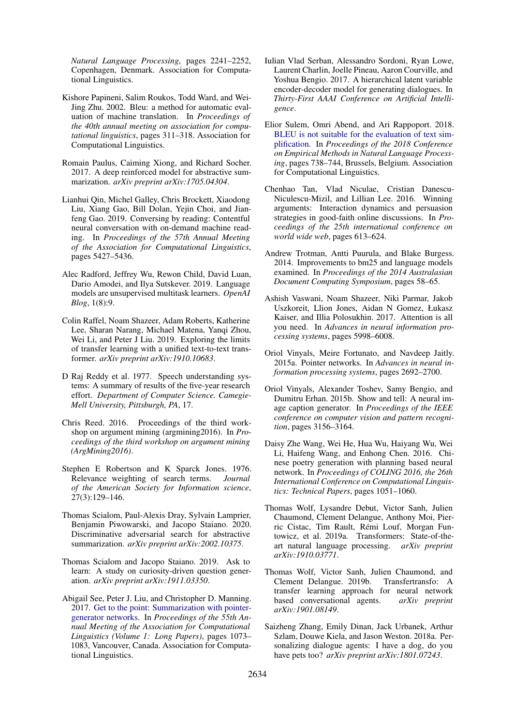*Natural Language Processing*, pages 2241–2252, Copenhagen, Denmark. Association for Computational Linguistics.

- <span id="page-9-13"></span>Kishore Papineni, Salim Roukos, Todd Ward, and Wei-Jing Zhu. 2002. Bleu: a method for automatic evaluation of machine translation. In *Proceedings of the 40th annual meeting on association for computational linguistics*, pages 311–318. Association for Computational Linguistics.
- <span id="page-9-17"></span>Romain Paulus, Caiming Xiong, and Richard Socher. 2017. A deep reinforced model for abstractive summarization. *arXiv preprint arXiv:1705.04304*.
- <span id="page-9-4"></span>Lianhui Qin, Michel Galley, Chris Brockett, Xiaodong Liu, Xiang Gao, Bill Dolan, Yejin Choi, and Jianfeng Gao. 2019. Conversing by reading: Contentful neural conversation with on-demand machine reading. In *Proceedings of the 57th Annual Meeting of the Association for Computational Linguistics*, pages 5427–5436.
- <span id="page-9-2"></span>Alec Radford, Jeffrey Wu, Rewon Child, David Luan, Dario Amodei, and Ilya Sutskever. 2019. Language models are unsupervised multitask learners. *OpenAI Blog*, 1(8):9.
- <span id="page-9-8"></span>Colin Raffel, Noam Shazeer, Adam Roberts, Katherine Lee, Sharan Narang, Michael Matena, Yanqi Zhou, Wei Li, and Peter J Liu. 2019. Exploring the limits of transfer learning with a unified text-to-text transformer. *arXiv preprint arXiv:1910.10683*.
- <span id="page-9-10"></span>D Raj Reddy et al. 1977. Speech understanding systems: A summary of results of the five-year research effort. *Department of Computer Science. Camegie-Mell University, Pittsburgh, PA*, 17.
- <span id="page-9-5"></span>Chris Reed. 2016. Proceedings of the third workshop on argument mining (argmining2016). In *Proceedings of the third workshop on argument mining (ArgMining2016)*.
- <span id="page-9-9"></span>Stephen E Robertson and K Sparck Jones. 1976. Relevance weighting of search terms. *Journal of the American Society for Information science*, 27(3):129–146.
- <span id="page-9-18"></span>Thomas Scialom, Paul-Alexis Dray, Sylvain Lamprier, Benjamin Piwowarski, and Jacopo Staiano. 2020. Discriminative adversarial search for abstractive summarization. *arXiv preprint arXiv:2002.10375*.
- <span id="page-9-15"></span>Thomas Scialom and Jacopo Staiano. 2019. Ask to learn: A study on curiosity-driven question generation. *arXiv preprint arXiv:1911.03350*.
- <span id="page-9-20"></span>Abigail See, Peter J. Liu, and Christopher D. Manning. 2017. [Get to the point: Summarization with pointer](https://doi.org/10.18653/v1/P17-1099)[generator networks.](https://doi.org/10.18653/v1/P17-1099) In *Proceedings of the 55th Annual Meeting of the Association for Computational Linguistics (Volume 1: Long Papers)*, pages 1073– 1083, Vancouver, Canada. Association for Computational Linguistics.
- <span id="page-9-3"></span>Iulian Vlad Serban, Alessandro Sordoni, Ryan Lowe, Laurent Charlin, Joelle Pineau, Aaron Courville, and Yoshua Bengio. 2017. A hierarchical latent variable encoder-decoder model for generating dialogues. In *Thirty-First AAAI Conference on Artificial Intelligence*.
- <span id="page-9-19"></span>Elior Sulem, Omri Abend, and Ari Rappoport. 2018. [BLEU is not suitable for the evaluation of text sim](https://doi.org/10.18653/v1/D18-1081)[plification.](https://doi.org/10.18653/v1/D18-1081) In *Proceedings of the 2018 Conference on Empirical Methods in Natural Language Processing*, pages 738–744, Brussels, Belgium. Association for Computational Linguistics.
- <span id="page-9-6"></span>Chenhao Tan, Vlad Niculae, Cristian Danescu-Niculescu-Mizil, and Lillian Lee. 2016. Winning arguments: Interaction dynamics and persuasion strategies in good-faith online discussions. In *Proceedings of the 25th international conference on world wide web*, pages 613–624.
- <span id="page-9-12"></span>Andrew Trotman, Antti Puurula, and Blake Burgess. 2014. Improvements to bm25 and language models examined. In *Proceedings of the 2014 Australasian Document Computing Symposium*, pages 58–65.
- <span id="page-9-7"></span>Ashish Vaswani, Noam Shazeer, Niki Parmar, Jakob Uszkoreit, Llion Jones, Aidan N Gomez, Łukasz Kaiser, and Illia Polosukhin. 2017. Attention is all you need. In *Advances in neural information processing systems*, pages 5998–6008.
- <span id="page-9-21"></span>Oriol Vinyals, Meire Fortunato, and Navdeep Jaitly. 2015a. Pointer networks. In *Advances in neural information processing systems*, pages 2692–2700.
- <span id="page-9-14"></span>Oriol Vinyals, Alexander Toshev, Samy Bengio, and Dumitru Erhan. 2015b. Show and tell: A neural image caption generator. In *Proceedings of the IEEE conference on computer vision and pattern recognition*, pages 3156–3164.
- <span id="page-9-16"></span>Daisy Zhe Wang, Wei He, Hua Wu, Haiyang Wu, Wei Li, Haifeng Wang, and Enhong Chen. 2016. Chinese poetry generation with planning based neural network. In *Proceedings of COLING 2016, the 26th International Conference on Computational Linguistics: Technical Papers*, pages 1051–1060.
- <span id="page-9-11"></span>Thomas Wolf, Lysandre Debut, Victor Sanh, Julien Chaumond, Clement Delangue, Anthony Moi, Pierric Cistac, Tim Rault, Remi Louf, Morgan Fun- ´ towicz, et al. 2019a. Transformers: State-of-theart natural language processing. *arXiv preprint arXiv:1910.03771*.
- <span id="page-9-1"></span>Thomas Wolf, Victor Sanh, Julien Chaumond, and Clement Delangue. 2019b. Transfertransfo: A transfer learning approach for neural network<br>based conversational agents.  $arXiv$  preprint based conversational agents. *arXiv:1901.08149*.
- <span id="page-9-0"></span>Saizheng Zhang, Emily Dinan, Jack Urbanek, Arthur Szlam, Douwe Kiela, and Jason Weston. 2018a. Personalizing dialogue agents: I have a dog, do you have pets too? *arXiv preprint arXiv:1801.07243*.